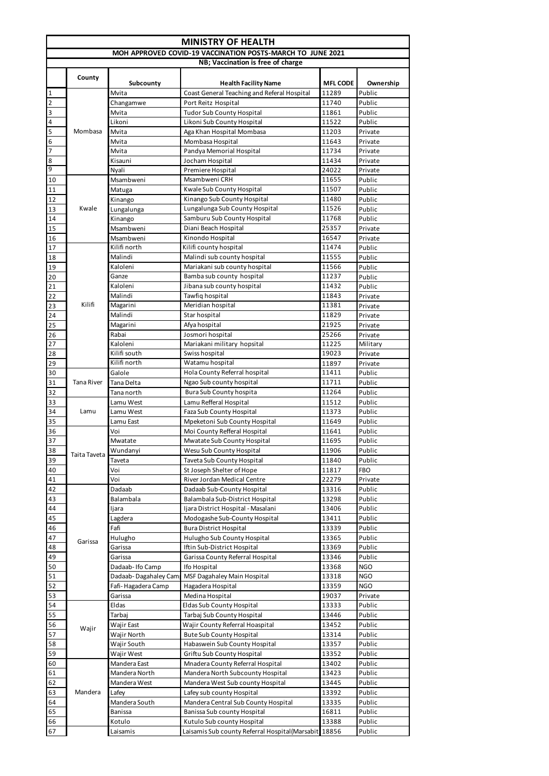| <b>MINISTRY OF HEALTH</b> |                                                                                                 |                                            |                                                                     |                 |                          |  |  |  |
|---------------------------|-------------------------------------------------------------------------------------------------|--------------------------------------------|---------------------------------------------------------------------|-----------------|--------------------------|--|--|--|
|                           | MOH APPROVED COVID-19 VACCINATION POSTS-MARCH TO JUNE 2021<br>NB; Vaccination is free of charge |                                            |                                                                     |                 |                          |  |  |  |
|                           |                                                                                                 |                                            |                                                                     |                 |                          |  |  |  |
|                           | County                                                                                          | Subcounty                                  | <b>Health Facility Name</b>                                         | <b>MFL CODE</b> | Ownership                |  |  |  |
| $\mathbf 1$               |                                                                                                 | Mvita                                      | Coast General Teaching and Referal Hospital                         | 11289           | Public                   |  |  |  |
| $\overline{2}$<br>3       |                                                                                                 | Changamwe<br>Mvita                         | Port Reitz Hospital                                                 | 11740<br>11861  | Public<br>Public         |  |  |  |
| 4                         |                                                                                                 | Likoni                                     | <b>Tudor Sub County Hospital</b><br>Likoni Sub County Hospital      | 11522           | Public                   |  |  |  |
| 5                         | Mombasa                                                                                         | Mvita                                      | Aga Khan Hospital Mombasa                                           | 11203           | Private                  |  |  |  |
| 6                         |                                                                                                 | Mvita                                      | Mombasa Hospital                                                    | 11643           | Private                  |  |  |  |
| 7                         |                                                                                                 | Mvita                                      | Pandya Memorial Hospital                                            | 11734           | Private                  |  |  |  |
| 8<br>9                    |                                                                                                 | Kisauni<br>Nyali                           | Jocham Hospital<br>Premiere Hospital                                | 11434<br>24022  | Private<br>Private       |  |  |  |
| 10                        |                                                                                                 | Msambweni                                  | Msambweni CRH                                                       | 11655           | Public                   |  |  |  |
| 11                        |                                                                                                 | Matuga                                     | Kwale Sub County Hospital                                           | 11507           | Public                   |  |  |  |
| 12                        |                                                                                                 | Kinango                                    | Kinango Sub County Hospital                                         | 11480           | Public                   |  |  |  |
| 13                        | Kwale                                                                                           | Lungalunga                                 | Lungalunga Sub County Hospital                                      | 11526           | Public                   |  |  |  |
| 14                        |                                                                                                 | Kinango                                    | Samburu Sub County Hospital                                         | 11768           | Public                   |  |  |  |
| 15                        |                                                                                                 | Msambweni<br>Msambweni                     | Diani Beach Hospital<br>Kinondo Hospital                            | 25357<br>16547  | Private                  |  |  |  |
| 16<br>17                  |                                                                                                 | Kilifi north                               | Kilifi county hospital                                              | 11474           | Private<br>Public        |  |  |  |
| 18                        |                                                                                                 | Malindi                                    | Malindi sub county hospital                                         | 11555           | Public                   |  |  |  |
| 19                        |                                                                                                 | Kaloleni                                   | Mariakani sub county hospital                                       | 11566           | Public                   |  |  |  |
| 20                        |                                                                                                 | Ganze                                      | Bamba sub county hospital                                           | 11237           | Public                   |  |  |  |
| 21                        |                                                                                                 | Kaloleni                                   | Jibana sub county hospital                                          | 11432           | Public                   |  |  |  |
| 22                        | Kilifi                                                                                          | Malindi                                    | Tawfiq hospital<br>Meridian hospital                                | 11843<br>11381  | Private                  |  |  |  |
| 23<br>24                  |                                                                                                 | Magarini<br>Malindi                        | Star hospital                                                       | 11829           | Private<br>Private       |  |  |  |
| 25                        |                                                                                                 | Magarini                                   | Afya hospital                                                       | 21925           | Private                  |  |  |  |
| 26                        |                                                                                                 | Rabai                                      | Josmori hospital                                                    | 25266           | Private                  |  |  |  |
| 27                        |                                                                                                 | Kaloleni                                   | Mariakani military hopsital                                         | 11225           | Military                 |  |  |  |
| 28                        |                                                                                                 | Kilifi south                               | Swiss hospital                                                      | 19023           | Private                  |  |  |  |
| 29                        |                                                                                                 | Kilifi north                               | Watamu hospital                                                     | 11897           | Private                  |  |  |  |
| 30<br>31                  | <b>Tana River</b>                                                                               | Galole<br>Tana Delta                       | Hola County Referral hospital<br>Ngao Sub county hospital           | 11411<br>11711  | Public<br>Public         |  |  |  |
| 32                        |                                                                                                 | Tana north                                 | Bura Sub County hospita                                             | 11264           | Public                   |  |  |  |
| 33                        |                                                                                                 | Lamu West                                  | Lamu Refferal Hospital                                              | 11512           | Public                   |  |  |  |
| 34                        | Lamu                                                                                            | Lamu West                                  | Faza Sub County Hospital                                            | 11373           | Public                   |  |  |  |
| 35                        |                                                                                                 | Lamu East                                  | Mpeketoni Sub County Hospital                                       | 11649           | Public                   |  |  |  |
| 36                        |                                                                                                 | Voi<br>Mwatate                             | Moi County Refferal Hospital                                        | 11641           | Public<br>Public         |  |  |  |
| 37<br>38                  |                                                                                                 | Wundanyi                                   | Mwatate Sub County Hospital<br>Wesu Sub County Hospital             | 11695<br>11906  | Public                   |  |  |  |
| 39                        | Taita Taveta                                                                                    | Taveta                                     | Taveta Sub County Hospital                                          | 11840           | Public                   |  |  |  |
| 40                        |                                                                                                 | Voi                                        | St Joseph Shelter of Hope                                           | 11817           | FBO                      |  |  |  |
| 41                        |                                                                                                 | Voi                                        | River Jordan Medical Centre                                         | 22279           | Private                  |  |  |  |
| 42                        |                                                                                                 | Dadaab                                     | Dadaab Sub-County Hospital                                          | 13316           | Public                   |  |  |  |
| 43                        |                                                                                                 | Balambala                                  | Balambala Sub-District Hospital                                     | 13298           | Public                   |  |  |  |
| 44<br>45                  |                                                                                                 | Ijara<br>Lagdera                           | Ijara District Hospital - Masalani<br>Modogashe Sub-County Hospital | 13406<br>13411  | Public<br>Public         |  |  |  |
| 46                        |                                                                                                 | Fafi                                       | <b>Bura District Hospital</b>                                       | 13339           | Public                   |  |  |  |
| 47                        | Garissa                                                                                         | Hulugho                                    | Hulugho Sub County Hospital                                         | 13365           | Public                   |  |  |  |
| 48                        |                                                                                                 | Garissa                                    | Iftin Sub-District Hospital                                         | 13369           | Public                   |  |  |  |
| 49                        |                                                                                                 | Garissa                                    | Garissa County Referral Hospital                                    | 13346           | Public                   |  |  |  |
| 50                        |                                                                                                 | Dadaab-Ifo Camp                            | Ifo Hospital                                                        | 13368           | <b>NGO</b>               |  |  |  |
| 51<br>52                  |                                                                                                 | Dadaab-Dagahaley Cam<br>Fafi-Hagadera Camp | MSF Dagahaley Main Hospital<br>Hagadera Hospital                    | 13318<br>13359  | <b>NGO</b><br><b>NGO</b> |  |  |  |
| 53                        |                                                                                                 | Garissa                                    | Medina Hospital                                                     | 19037           | Private                  |  |  |  |
| 54                        |                                                                                                 | Eldas                                      | Eldas Sub County Hospital                                           | 13333           | Public                   |  |  |  |
| 55                        |                                                                                                 | Tarbaj                                     | Tarbaj Sub County Hospital                                          | 13446           | Public                   |  |  |  |
| 56                        | Wajir                                                                                           | Wajir East                                 | Wajir County Referral Hoaspital                                     | 13452           | Public                   |  |  |  |
| 57                        |                                                                                                 | Wajir North                                | <b>Bute Sub County Hospital</b>                                     | 13314           | Public                   |  |  |  |
| 58<br>59                  |                                                                                                 | Wajir South<br>Wajir West                  | Habaswein Sub County Hospital<br>Griftu Sub County Hospital         | 13357<br>13352  | Public<br>Public         |  |  |  |
| 60                        |                                                                                                 | Mandera East                               | Mnadera County Referral Hospital                                    | 13402           | Public                   |  |  |  |
| 61                        |                                                                                                 | Mandera North                              | Mandera North Subcounty Hospital                                    | 13423           | Public                   |  |  |  |
| 62                        |                                                                                                 | Mandera West                               | Mandera West Sub county Hospital                                    | 13445           | Public                   |  |  |  |
| 63                        | Mandera                                                                                         | Lafey                                      | Lafey sub county Hospital                                           | 13392           | Public                   |  |  |  |
| 64                        |                                                                                                 | Mandera South                              | Mandera Central Sub County Hospital                                 | 13335           | Public                   |  |  |  |
| 65<br>66                  |                                                                                                 | Banissa<br>Kotulo                          | Banissa Sub county Hospital<br>Kutulo Sub county Hospital           | 16811<br>13388  | Public<br>Public         |  |  |  |
| 67                        |                                                                                                 | Laisamis                                   | Laisamis Sub county Referral Hospital (Marsabit 18856               |                 | Public                   |  |  |  |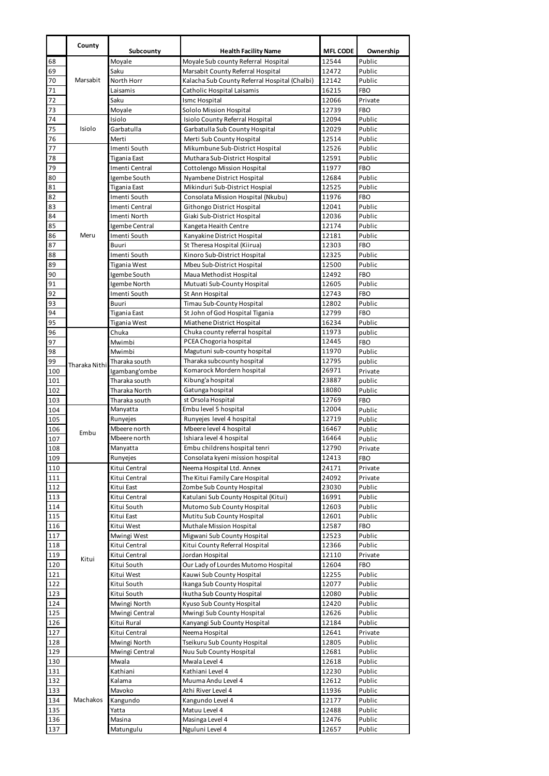|            | County        | Subcounty                      | <b>Health Facility Name</b>                               | <b>MFL CODE</b> | Ownership            |
|------------|---------------|--------------------------------|-----------------------------------------------------------|-----------------|----------------------|
| 68         |               | Moyale                         | Moyale Sub county Referral Hospital                       | 12544           | Public               |
| 69         |               | Saku                           | Marsabit County Referral Hospital                         | 12472           | Public               |
| 70         | Marsabit      | North Horr                     | Kalacha Sub County Referral Hospital (Chalbi)             | 12142           | Public               |
| 71         |               | Laisamis                       | Catholic Hospital Laisamis                                | 16215           | FBO                  |
| 72         |               | Saku                           | Ismc Hospital                                             | 12066           | Private              |
| 73         |               | Moyale                         | Sololo Mission Hospital                                   | 12739           | <b>FBO</b>           |
| 74         |               | Isiolo                         | Isiolo County Referral Hospital                           | 12094           | Public               |
| 75         | Isiolo        | Garbatulla                     | Garbatulla Sub County Hospital                            | 12029           | Public               |
| 76         |               | Merti                          | Merti Sub County Hospital                                 | 12514           | Public               |
| 77         |               | Imenti South                   | Mikumbune Sub-District Hospital                           | 12526           | Public               |
| 78         |               | Tigania East                   | Muthara Sub-District Hospital                             | 12591           | Public               |
| 79         |               | Imenti Central                 | Cottolengo Mission Hospital                               | 11977           | FBO                  |
| 80         |               | Igembe South                   | Nyambene District Hospital                                | 12684           | Public               |
| 81         |               | Tigania East                   | Mikinduri Sub-District Hospial                            | 12525           | Public               |
| 82         |               | Imenti South<br>Imenti Central | Consolata Mission Hospital (Nkubu)                        | 11976           | <b>FBO</b><br>Public |
| 83<br>84   |               | Imenti North                   | Githongo District Hospital<br>Giaki Sub-District Hospital | 12041<br>12036  | Public               |
| 85         |               | Igembe Central                 | Kangeta Heaith Centre                                     | 12174           | Public               |
| 86         | Meru          | Imenti South                   | Kanyakine District Hospital                               | 12181           | Public               |
| 87         |               | Buuri                          | St Theresa Hospital (Kiirua)                              | 12303           | FBO                  |
| 88         |               | Imenti South                   | Kinoro Sub-District Hospital                              | 12325           | Public               |
| 89         |               | Tigania West                   | Mbeu Sub-District Hospital                                | 12500           | Public               |
| 90         |               | Igembe South                   | Maua Methodist Hospital                                   | 12492           | <b>FBO</b>           |
| 91         |               | Igembe North                   | Mutuati Sub-County Hospital                               | 12605           | Public               |
| 92         |               | Imenti South                   | St Ann Hospital                                           | 12743           | <b>FBO</b>           |
| 93         |               | Buuri                          | Timau Sub-County Hospital                                 | 12802           | Public               |
| 94         |               | Tigania East                   | St John of God Hospital Tigania                           | 12799           | <b>FBO</b>           |
| 95         |               | Tigania West                   | Miathene District Hospital                                | 16234           | Public               |
| 96         |               | Chuka                          | Chuka county referral hospital                            | 11973           | public               |
| 97         |               | Mwimbi                         | PCEA Chogoria hospital                                    | 12445           | <b>FBO</b>           |
| 98         |               | Mwimbi                         | Magutuni sub-county hospital                              | 11970           | Public               |
| 99         | Tharaka Nithi | Tharaka south                  | Tharaka subcounty hospital                                | 12795<br>26971  | public               |
| 100<br>101 |               | Igambang'ombe<br>Tharaka south | Komarock Mordern hospital<br>Kibung'a hospital            | 23887           | Private<br>public    |
| 102        |               | Tharaka North                  | Gatunga hospital                                          | 18080           | Public               |
| 103        |               | Tharaka south                  | st Orsola Hospital                                        | 12769           | FBO                  |
| 104        |               | Manyatta                       | Embu level 5 hospital                                     | 12004           | Public               |
| 105        |               | Runyejes                       | Runyejes level 4 hospital                                 | 12719           | Public               |
| 106        | Embu          | Mbeere north                   | Mbeere level 4 hospital                                   | 16467           | Public               |
| 107        |               | Mbeere north                   | Ishiara level 4 hospital                                  | 16464           | Public               |
| 108        |               | Manyatta                       | Embu childrens hospital tenri                             | 12790           | Private              |
| 109        |               | Runyejes                       | Consolata kyeni mission hospital                          | 12413           | FBO                  |
| 110        |               | Kitui Central                  | Neema Hospital Ltd. Annex                                 | 24171           | Private              |
| 111        |               | Kitui Central                  | The Kitui Family Care Hospital                            | 24092           | Private              |
| 112        |               | Kitui East                     | Zombe Sub County Hospital                                 | 23030           | Public               |
| 113        |               | Kitui Central                  | Katulani Sub County Hospital (Kitui)                      | 16991           | Public               |
| 114        |               | Kitui South                    | Mutomo Sub County Hospital                                | 12603           | Public               |
| 115        |               | Kitui East                     | Mutitu Sub County Hospital                                | 12601           | Public               |
| 116        |               | Kitui West                     | Muthale Mission Hospital                                  | 12587           | FBO                  |
| 117        |               | Mwingi West                    | Migwani Sub County Hospital                               | 12523<br>12366  | Public<br>Public     |
| 118<br>119 |               | Kitui Central<br>Kitui Central | Kitui County Referral Hospital<br>Jordan Hospital         | 12110           | Private              |
| 120        | Kitui         | Kitui South                    | Our Lady of Lourdes Mutomo Hospital                       | 12604           | FBO                  |
| 121        |               | Kitui West                     | Kauwi Sub County Hospital                                 | 12255           | Public               |
| 122        |               | Kitui South                    | Ikanga Sub County Hospital                                | 12077           | Public               |
| 123        |               | Kitui South                    | Ikutha Sub County Hospital                                | 12080           | Public               |
| 124        |               | Mwingi North                   | Kyuso Sub County Hospital                                 | 12420           | Public               |
| 125        |               | Mwingi Central                 | Mwingi Sub County Hospital                                | 12626           | Public               |
| 126        |               | Kitui Rural                    | Kanyangi Sub County Hospital                              | 12184           | Public               |
| 127        |               | Kitui Central                  | Neema Hospital                                            | 12641           | Private              |
| 128        |               | Mwingi North                   | Tseikuru Sub County Hospital                              | 12805           | Public               |
| 129        |               | Mwingi Central                 | Nuu Sub County Hospital                                   | 12681           | Public               |
| 130        |               | Mwala                          | Mwala Level 4                                             | 12618           | Public               |
| 131        |               | Kathiani                       | Kathiani Level 4                                          | 12230           | Public               |
| 132        |               | Kalama                         | Muuma Andu Level 4                                        | 12612           | Public               |
| 133        |               | Mavoko                         | Athi River Level 4                                        | 11936           | Public               |
| 134        | Machakos      | Kangundo                       | Kangundo Level 4                                          | 12177           | Public               |
| 135        |               | Yatta                          | Matuu Level 4                                             | 12488           | Public               |
| 136<br>137 |               | Masina<br>Matungulu            | Masinga Level 4<br>Nguluni Level 4                        | 12476<br>12657  | Public<br>Public     |
|            |               |                                |                                                           |                 |                      |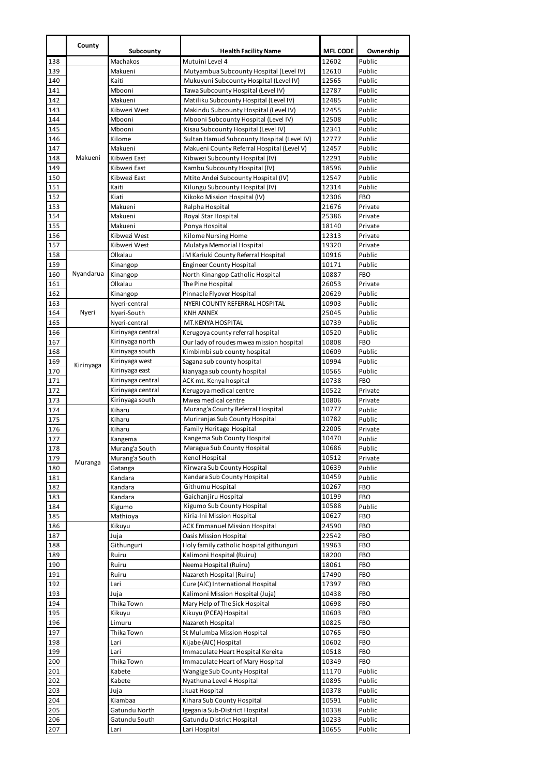|            | County    | Subcounty          | <b>Health Facility Name</b>                                           | <b>MFL CODE</b> | Ownership            |
|------------|-----------|--------------------|-----------------------------------------------------------------------|-----------------|----------------------|
| 138        |           | Machakos           | Mutuini Level 4                                                       | 12602           | Public               |
| 139        |           | Makueni            | Mutyambua Subcounty Hospital (Level IV)                               | 12610           | Public               |
| 140        |           | Kaiti              | Mukuyuni Subcounty Hospital (Level IV)                                | 12565           | Public               |
| 141        |           | Mbooni             | Tawa Subcounty Hospital (Level IV)                                    | 12787           | Public               |
| 142        |           | Makueni            | Matiliku Subcounty Hospital (Level IV)                                | 12485           | Public               |
| 143        |           | Kibwezi West       | Makindu Subcounty Hospital (Level IV)                                 | 12455           | Public               |
| 144        |           | Mbooni             | Mbooni Subcounty Hospital (Level IV)                                  | 12508           | Public               |
| 145        |           | Mbooni             | Kisau Subcounty Hospital (Level IV)                                   | 12341           | Public               |
| 146        |           | Kilome             | Sultan Hamud Subcounty Hospital (Level IV)                            | 12777           | Public               |
| 147        |           | Makueni            | Makueni County Referral Hospital (Level V)                            | 12457           | Public               |
| 148        | Makueni   | Kibwezi East       | Kibwezi Subcounty Hospital (IV)                                       | 12291           | Public               |
| 149        |           | Kibwezi East       | Kambu Subcounty Hospital (IV)                                         | 18596           | Public               |
| 150        |           | Kibwezi East       | Mtito Andei Subcounty Hospital (IV)                                   | 12547           | Public               |
| 151        |           | Kaiti<br>Kiati     | Kilungu Subcounty Hospital (IV)                                       | 12314           | Public<br><b>FBO</b> |
| 152<br>153 |           | Makueni            | Kikoko Mission Hospital (IV)<br>Ralpha Hospital                       | 12306<br>21676  | Private              |
| 154        |           | Makueni            | Royal Star Hospital                                                   | 25386           | Private              |
| 155        |           | Makueni            | Ponya Hospital                                                        | 18140           | Private              |
| 156        |           | Kibwezi West       | Kilome Nursing Home                                                   | 12313           | Private              |
| 157        |           | Kibwezi West       | Mulatya Memorial Hospital                                             | 19320           | Private              |
| 158        |           | Olkalau            | JM Kariuki County Referral Hospital                                   | 10916           | Public               |
| 159        |           | Kinangop           | <b>Engineer County Hospital</b>                                       | 10171           | Public               |
| 160        | Nyandarua | Kinangop           | North Kinangop Catholic Hospital                                      | 10887           | <b>FBO</b>           |
| 161        |           | Olkalau            | The Pine Hospital                                                     | 26053           | Private              |
| 162        |           | Kinangop           | Pinnacle Flyover Hospital                                             | 20629           | Public               |
| 163        |           | Nyeri-central      | NYERI COUNTY REFERRAL HOSPITAL                                        | 10903           | Public               |
| 164        | Nyeri     | Nyeri-South        | <b>KNH ANNEX</b>                                                      | 25045           | Public               |
| 165        |           | Nyeri-central      | MT.KENYA HOSPITAL                                                     | 10739           | Public               |
| 166        |           | Kirinyaga central  | Kerugoya county referral hospital                                     | 10520           | Public               |
| 167        |           | Kirinyaga north    | Our lady of roudes mwea mission hospital                              | 10808           | <b>FBO</b>           |
| 168        |           | Kirinyaga south    | Kimbimbi sub county hospital                                          | 10609           | Public               |
| 169        | Kirinyaga | Kirinyaga west     | Sagana sub county hospital                                            | 10994           | Public               |
| 170        |           | Kirinyaga east     | kianyaga sub county hospital                                          | 10565           | Public               |
| 171        |           | Kirinyaga central  | ACK mt. Kenya hospital                                                | 10738           | <b>FBO</b>           |
| 172        |           | Kirinyaga central  | Kerugoya medical centre                                               | 10522           | Private              |
| 173        |           | Kirinyaga south    | Mwea medical centre<br>Murang'a County Referral Hospital              | 10806<br>10777  | Private              |
| 174<br>175 |           | Kiharu<br>Kiharu   | Muriranjas Sub County Hospital                                        | 10782           | Public<br>Public     |
| 176        |           | Kiharu             | Family Heritage Hospital                                              | 22005           | Private              |
| 177        |           | Kangema            | Kangema Sub County Hospital                                           | 10470           | Public               |
| 178        |           | Murang'a South     | Maragua Sub County Hospital                                           | 10686           | Public               |
| 179        |           | Murang'a South     | Kenol Hospital                                                        | 10512           | Private              |
| 180        | Muranga   | Gatanga            | Kirwara Sub County Hospital                                           | 10639           | Public               |
| 181        |           | Kandara            | Kandara Sub County Hospital                                           | 10459           | Public               |
| 182        |           | Kandara            | Githumu Hospital                                                      | 10267           | <b>FBO</b>           |
| 183        |           | Kandara            | Gaichanjiru Hospital                                                  | 10199           | <b>FBO</b>           |
| 184        |           | Kigumo             | Kigumo Sub County Hospital                                            | 10588           | Public               |
| 185        |           | Mathioya           | Kiria-Ini Mission Hospital                                            | 10627           | FBO                  |
| 186        |           | Kikuyu             | <b>ACK Emmanuel Mission Hospital</b>                                  | 24590           | FBO                  |
| 187        |           | Juja               | <b>Oasis Mission Hospital</b>                                         | 22542           | FBO                  |
| 188        |           | Githunguri         | Holy family catholic hospital githunguri                              | 19963           | FBO                  |
| 189        |           | Ruiru              | Kalimoni Hospital (Ruiru)                                             | 18200           | FBO                  |
| 190        |           | Ruiru              | Neema Hospital (Ruiru)                                                | 18061           | FBO                  |
| 191        |           | Ruiru              | Nazareth Hospital (Ruiru)                                             | 17490           | FBO                  |
| 192<br>193 |           | Lari               | Cure (AIC) International Hospital<br>Kalimoni Mission Hospital (Juja) | 17397<br>10438  | FBO<br>FBO           |
| 194        |           | Juja<br>Thika Town | Mary Help of The Sick Hospital                                        | 10698           | FBO                  |
| 195        |           | Kikuyu             | Kikuyu (PCEA) Hospital                                                | 10603           | FBO                  |
| 196        |           | Limuru             | Nazareth Hospital                                                     | 10825           | FBO                  |
| 197        |           | Thika Town         | St Mulumba Mission Hospital                                           | 10765           | FBO                  |
| 198        |           | Lari               | Kijabe (AIC) Hospital                                                 | 10602           | FBO                  |
| 199        |           | Lari               | Immaculate Heart Hospital Kereita                                     | 10518           | <b>FBO</b>           |
| 200        |           | Thika Town         | Immaculate Heart of Mary Hospital                                     | 10349           | <b>FBO</b>           |
| 201        |           | Kabete             | Wangige Sub County Hospital                                           | 11170           | Public               |
| 202        |           | Kabete             | Nyathuna Level 4 Hospital                                             | 10895           | Public               |
| 203        |           | Juja               | Jkuat Hospital                                                        | 10378           | Public               |
| 204        |           | Kiambaa            | Kihara Sub County Hospital                                            | 10591           | Public               |
| 205        |           | Gatundu North      | Igegania Sub-District Hospital                                        | 10338           | Public               |
| 206        |           | Gatundu South      | Gatundu District Hospital                                             | 10233           | Public               |
| 207        |           | Lari               | Lari Hospital                                                         | 10655           | Public               |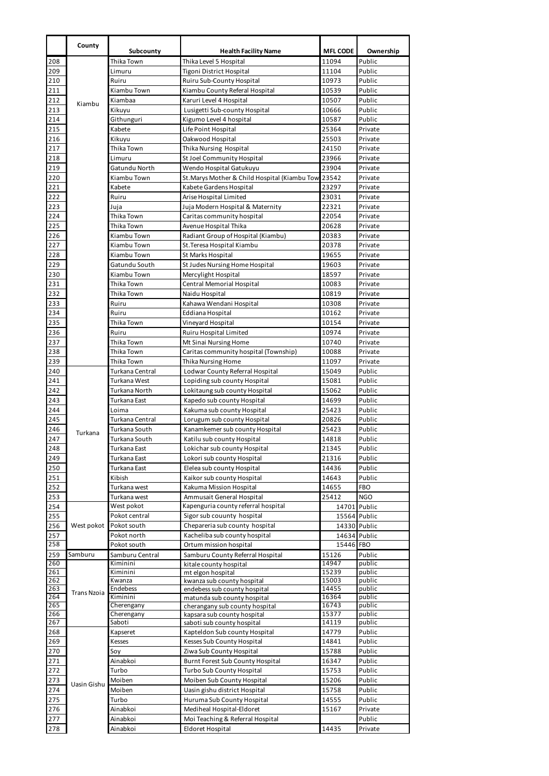|            | County             |                              |                                                                |                          |                     |
|------------|--------------------|------------------------------|----------------------------------------------------------------|--------------------------|---------------------|
| 208        |                    | Subcounty<br>Thika Town      | <b>Health Facility Name</b><br>Thika Level 5 Hospital          | <b>MFL CODE</b><br>11094 | Ownership<br>Public |
| 209        |                    | Limuru                       | Tigoni District Hospital                                       | 11104                    | Public              |
| 210        |                    | Ruiru                        | Ruiru Sub-County Hospital                                      | 10973                    | Public              |
| 211        |                    | Kiambu Town                  | Kiambu County Referal Hospital                                 | 10539                    | Public              |
| 212        |                    | Kiambaa                      | Karuri Level 4 Hospital                                        | 10507                    | Public              |
| 213        | Kiambu             | Kikuyu                       | Lusigetti Sub-county Hospital                                  | 10666                    | Public              |
| 214        |                    | Githunguri                   | Kigumo Level 4 hospital                                        | 10587                    | Public              |
| 215        |                    | Kabete                       | Life Point Hospital                                            | 25364                    | Private             |
| 216        |                    | Kikuyu                       | Oakwood Hospital                                               | 25503                    | Private             |
| 217        |                    | Thika Town                   | Thika Nursing Hospital                                         | 24150                    | Private             |
| 218        |                    | Limuru                       | St Joel Community Hospital                                     | 23966                    | Private             |
| 219        |                    | Gatundu North                | Wendo Hospital Gatukuyu                                        | 23904                    | Private             |
| 220<br>221 |                    | Kiambu Town<br>Kabete        | St.Marys Mother & Child Hospital (Kiambu Tow 23542             | 23297                    | Private<br>Private  |
| 222        |                    | Ruiru                        | Kabete Gardens Hospital<br>Arise Hospital Limited              | 23031                    | Private             |
| 223        |                    | Juja                         | Juja Modern Hospital & Maternity                               | 22321                    | Private             |
| 224        |                    | Thika Town                   | Caritas community hospital                                     | 22054                    | Private             |
| 225        |                    | Thika Town                   | Avenue Hospital Thika                                          | 20628                    | Private             |
| 226        |                    | Kiambu Town                  | Radiant Group of Hospital (Kiambu)                             | 20383                    | Private             |
| 227        |                    | Kiambu Town                  | St. Teresa Hospital Kiambu                                     | 20378                    | Private             |
| 228        |                    | Kiambu Town                  | <b>St Marks Hospital</b>                                       | 19655                    | Private             |
| 229        |                    | Gatundu South                | St Judes Nursing Home Hospital                                 | 19603                    | Private             |
| 230        |                    | Kiambu Town                  | Mercylight Hospital                                            | 18597                    | Private             |
| 231        |                    | Thika Town                   | Central Memorial Hospital                                      | 10083                    | Private             |
| 232        |                    | Thika Town                   | Naidu Hospital                                                 | 10819                    | Private             |
| 233        |                    | Ruiru                        | Kahawa Wendani Hospital                                        | 10308                    | Private             |
| 234        |                    | Ruiru                        | Eddiana Hospital                                               | 10162                    | Private             |
| 235        |                    | Thika Town                   | Vineyard Hospital                                              | 10154                    | Private             |
| 236        |                    | Ruiru<br>Thika Town          | Ruiru Hospital Limited                                         | 10974                    | Private<br>Private  |
| 237<br>238 |                    | Thika Town                   | Mt Sinai Nursing Home<br>Caritas community hospital (Township) | 10740<br>10088           | Private             |
| 239        |                    | Thika Town                   | Thika Nursing Home                                             | 11097                    | Private             |
| 240        |                    | Turkana Central              | Lodwar County Referral Hospital                                | 15049                    | Public              |
| 241        |                    | Turkana West                 | Lopiding sub county Hospital                                   | 15081                    | Public              |
| 242        |                    | Turkana North                | Lokitaung sub county Hospital                                  | 15062                    | Public              |
| 243        |                    | Turkana East                 | Kapedo sub county Hospital                                     | 14699                    | Public              |
| 244        |                    | Loima                        | Kakuma sub county Hospital                                     | 25423                    | Public              |
| 245        |                    | Turkana Central              | Lorugum sub county Hospital                                    | 20826                    | Public              |
| 246        | Turkana            | Turkana South                | Kanamkemer sub county Hospital                                 | 25423                    | Public              |
| 247        |                    | Turkana South                | Katilu sub county Hospital                                     | 14818                    | Public              |
| 248        |                    | Turkana East                 | Lokichar sub county Hospital                                   | 21345                    | Public              |
| 249<br>250 |                    | Turkana East<br>Turkana East | Lokori sub county Hospital<br>Elelea sub county Hospital       | 21316<br>14436           | Public<br>Public    |
| 251        |                    | Kibish                       | Kaikor sub county Hospital                                     | 14643                    | Public              |
| 252        |                    | Turkana west                 | Kakuma Mission Hospital                                        | 14655                    | FBO                 |
| 253        |                    | Turkana west                 | Ammusait General Hospital                                      | 25412                    | <b>NGO</b>          |
| 254        |                    | West pokot                   | Kapenguria county referral hospital                            | 14701 Public             |                     |
| 255        |                    | Pokot central                | Sigor sub couunty hospital                                     | 15564 Public             |                     |
| 256        | West pokot         | Pokot south                  | Chepareria sub county hospital                                 | 14330 Public             |                     |
| 257        |                    | Pokot north                  | Kacheliba sub county hospital                                  | 14634 Public             |                     |
| 258        |                    | Pokot south                  | Ortum mission hospital                                         | 15446 FBO                |                     |
| 259        | Samburu            | Samburu Central              | Samburu County Referral Hospital                               | 15126                    | Public              |
| 260<br>261 |                    | Kiminini<br>Kiminini         | kitale county hospital<br>mt elgon hospital                    | 14947<br>15239           | public<br>public    |
| 262        |                    | Kwanza                       | kwanza sub county hospital                                     | 15003                    | public              |
| 263        | <b>Trans Nzoia</b> | Endebess                     | endebess sub county hospital                                   | 14455                    | public              |
| 264        |                    | Kiminini                     | matunda sub county hospital                                    | 16364                    | public              |
| 265<br>266 |                    | Cherengany<br>Cherengany     | cherangany sub county hospital<br>kapsara sub county hospital  | 16743<br>15377           | public<br>public    |
| 267        |                    | Saboti                       | saboti sub county hospital                                     | 14119                    | public              |
| 268        |                    | Kapseret                     | Kapteldon Sub county Hospital                                  | 14779                    | Public              |
| 269        |                    | Kesses                       | Kesses Sub County Hospital                                     | 14841                    | Public              |
| 270        |                    | Soy                          | Ziwa Sub County Hospital                                       | 15788                    | Public              |
| 271        |                    | Ainabkoi                     | Burnt Forest Sub County Hospital                               | 16347                    | Public              |
| 272        |                    | Turbo                        | Turbo Sub County Hospital                                      | 15753                    | Public              |
| 273        | Uasin Gishu        | Moiben                       | Moiben Sub County Hospital                                     | 15206                    | Public              |
| 274        |                    | Moiben                       | Uasin gishu district Hospital                                  | 15758                    | Public              |
| 275        |                    | Turbo                        | Huruma Sub County Hospital                                     | 14555                    | Public              |
| 276        |                    | Ainabkoi<br>Ainabkoi         | Mediheal Hospital-Eldoret<br>Moi Teaching & Referral Hospital  | 15167                    | Private<br>Public   |
| 277<br>278 |                    | Ainabkoi                     | Eldoret Hospital                                               | 14435                    | Private             |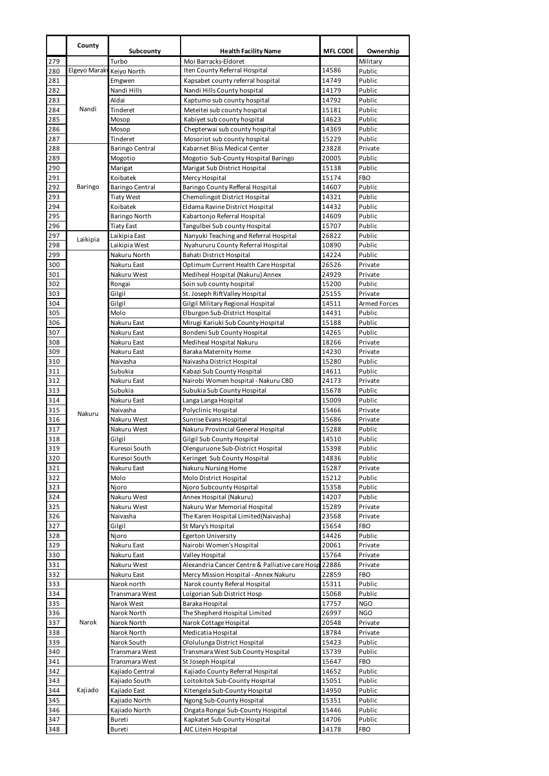|            | County        | Subcounty                  | <b>Health Facility Name</b>                             | <b>MFL CODE</b> | Ownership           |
|------------|---------------|----------------------------|---------------------------------------------------------|-----------------|---------------------|
| 279        |               | Turbo                      | Moi Barracks-Eldoret                                    |                 | Military            |
| 280        | Elgeyo Maraky | Keiyo North                | Iten County Referral Hospital                           | 14586           | Public              |
| 281        |               | Emgwen                     | Kapsabet county referral hospital                       | 14749           | Public              |
| 282        |               | Nandi Hills                | Nandi Hills County hospital                             | 14179           | Public              |
| 283        |               | Aldai                      | Kaptumo sub county hospital                             | 14792           | Public              |
| 284        | Nandi         | Tinderet                   | Meteitei sub county hospital                            | 15181           | Public              |
| 285        |               | Mosop                      | Kabiyet sub county hospital                             | 14623           | Public              |
| 286        |               | Mosop                      | Chepterwai sub county hospital                          | 14369           | Public              |
| 287        |               | Tinderet                   | Mosoriot sub county hospital                            | 15229           | Public              |
| 288        |               | <b>Baringo Central</b>     | Kabarnet Bliss Medical Center                           | 23828<br>20005  | Private<br>Public   |
| 289<br>290 |               | Mogotio<br>Marigat         | Mogotio Sub-County Hospital Baringo                     |                 | Public              |
| 291        |               | Koibatek                   | Marigat Sub District Hospital<br>Mercy Hospital         | 15138<br>15174  | <b>FBO</b>          |
| 292        | Baringo       | <b>Baringo Central</b>     | Baringo County Refferal Hospital                        | 14607           | Public              |
| 293        |               | <b>Tiaty West</b>          | Chemolingot District Hospital                           | 14321           | Public              |
| 294        |               | Koibatek                   | Eldama Ravine District Hospital                         | 14432           | Public              |
| 295        |               | Baringo North              | Kabartonjo Referral Hospital                            | 14609           | Public              |
| 296        |               | <b>Tiaty East</b>          | Tangulbei Sub county Hospital                           | 15707           | Public              |
| 297        | Laikipia      | Laikipia East              | Nanyuki Teaching and Referral Hospital                  | 26822           | Public              |
| 298        |               | Laikipia West              | Nyahururu County Referral Hospital                      | 10890           | Public              |
| 299        |               | Nakuru North               | Bahati District Hospital                                | 14224           | Public              |
| 300        |               | Nakuru East                | Optimum Current Health Care Hospital                    | 26526           | Private             |
| 301        |               | Nakuru West                | Mediheal Hospital (Nakuru) Annex                        | 24929           | Private             |
| 302        |               | Rongai                     | Soin sub county hospital                                | 15200           | Public              |
| 303        |               | Gilgil                     | St. Joseph RiftValley Hospital                          | 25155           | Private             |
| 304        |               | Gilgil                     | Gilgil Military Regional Hospital                       | 14511           | <b>Armed Forces</b> |
| 305        |               | Molo                       | Elburgon Sub-District Hospital                          | 14431           | Public              |
| 306        |               | Nakuru East                | Mirugi Kariuki Sub County Hospital                      | 15188<br>14265  | Public<br>Public    |
| 307<br>308 |               | Nakuru East<br>Nakuru East | Bondeni Sub County Hospital<br>Mediheal Hospital Nakuru | 18266           | Private             |
| 309        |               | Nakuru East                | Baraka Maternity Home                                   | 14230           | Private             |
| 310        |               | Naivasha                   | Naivasha District Hospital                              | 15280           | Public              |
| 311        |               | Subukia                    | Kabazi Sub County Hospital                              | 14611           | Public              |
| 312        |               | Nakuru East                | Nairobi Women hospital - Nakuru CBD                     | 24173           | Private             |
| 313        |               | Subukia                    | Subukia Sub County Hospital                             | 15678           | Public              |
| 314        |               | Nakuru East                | Langa Langa Hospital                                    | 15009           | Public              |
| 315        | Nakuru        | Naivasha                   | Polyclinic Hospital                                     | 15466           | Private             |
| 316        |               | Nakuru West                | Sunrise Evans Hospital                                  | 15686           | Private             |
| 317        |               | Nakuru West                | Nakuru Provincial General Hospital                      | 15288           | Public              |
| 318        |               | Gilgil                     | Gilgil Sub County Hospital                              | 14510           | Public              |
| 319        |               | Kuresoi South              | Olenguruone Sub-District Hospital                       | 15398           | Public              |
| 320        |               | Kuresoi South              | Keringet Sub County Hospital                            | 14836           | Public              |
| 321        |               | Nakuru East                | Nakuru Nursing Home                                     | 15287           | Private             |
| 322        |               | Molo<br>Njoro              | Molo District Hospital<br>Njoro Subcounty Hospital      | 15212<br>15358  | Public<br>Public    |
| 323<br>324 |               | Nakuru West                | Annex Hospital (Nakuru)                                 | 14207           | Public              |
| 325        |               | Nakuru West                | Nakuru War Memorial Hospital                            | 15289           | Private             |
| 326        |               | Naivasha                   | The Karen Hospital Limited (Naivasha)                   | 23568           | Private             |
| 327        |               | Gilgil                     | St Mary's Hospital                                      | 15654           | FBO                 |
| 328        |               | Njoro                      | <b>Egerton University</b>                               | 14426           | Public              |
| 329        |               | Nakuru East                | Nairobi Women's Hospital                                | 20061           | Private             |
| 330        |               | Nakuru East                | Valley Hospital                                         | 15764           | Private             |
| 331        |               | Nakuru West                | Alexandria Cancer Centre & Palliative care Hosp 22886   |                 | Private             |
| 332        |               | Nakuru East                | Mercy Mission Hospital - Annex Nakuru                   | 22859           | <b>FBO</b>          |
| 333        |               | Narok north                | Narok county Referal Hospital                           | 15311           | Public              |
| 334        |               | Transmara West             | Lolgorian Sub District Hosp                             | 15068           | Public              |
| 335        |               | Narok West                 | Baraka Hospital                                         | 17757           | <b>NGO</b>          |
| 336        |               | Narok North                | The Shepherd Hospital Limited                           | 26997           | <b>NGO</b>          |
| 337        | Narok         | Narok North                | Narok Cottage Hospital                                  | 20548           | Private             |
| 338<br>339 |               | Narok North<br>Narok South | Medicatia Hospital<br>Ololulunga District Hospital      | 18784<br>15423  | Private<br>Public   |
| 340        |               | Transmara West             | Transmara West Sub County Hospital                      | 15739           | Public              |
| 341        |               | Transmara West             | St Joseph Hospital                                      | 15647           | FBO                 |
| 342        |               | Kajiado Central            | Kajiado County Referral Hospital                        | 14652           | Public              |
| 343        |               | Kajiado South              | Loitokitok Sub-County Hospital                          | 15051           | Public              |
| 344        | Kajiado       | Kajiado East               | Kitengela Sub-County Hospital                           | 14950           | Public              |
| 345        |               | Kajiado North              | Ngong Sub-County Hospital                               | 15351           | Public              |
| 346        |               | Kajiado North              | Ongata Rongai Sub-County Hospital                       | 15446           | Public              |
| 347        |               | Bureti                     | Kapkatet Sub County Hospital                            | 14706           | Public              |
| 348        |               | Bureti                     | AIC Litein Hospital                                     | 14178           | FBO                 |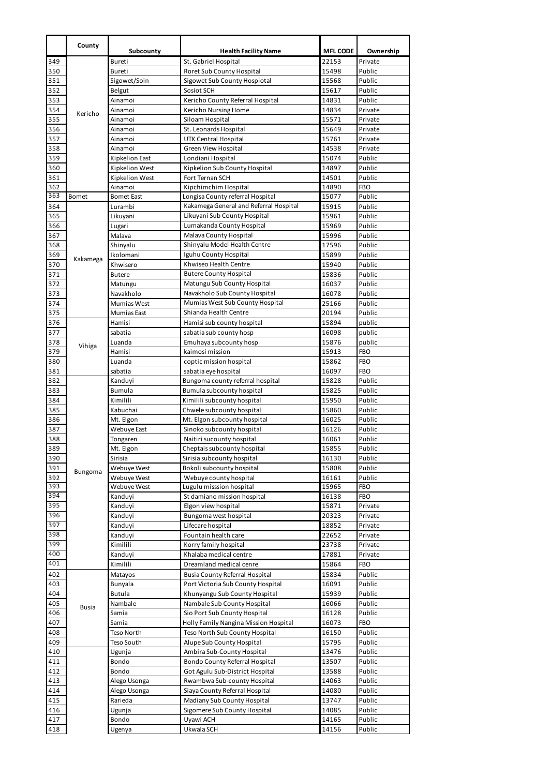|            | County   | Subcounty                | <b>Health Facility Name</b>                                                | <b>MFL CODE</b> | Ownership             |
|------------|----------|--------------------------|----------------------------------------------------------------------------|-----------------|-----------------------|
| 349        |          | Bureti                   | St. Gabriel Hospital                                                       | 22153           | Private               |
| 350        |          | Bureti                   | Roret Sub County Hospital                                                  | 15498           | Public                |
| 351        |          | Sigowet/Soin             | Sigowet Sub County Hospiotal                                               | 15568           | Public                |
| 352        |          | Belgut                   | Sosiot SCH                                                                 | 15617           | Public                |
| 353        |          | Ainamoi                  | Kericho County Referral Hospital                                           | 14831           | Public                |
| 354        | Kericho  | Ainamoi                  | Kericho Nursing Home                                                       | 14834           | Private               |
| 355        |          | Ainamoi                  | Siloam Hospital                                                            | 15571           | Private               |
| 356        |          | Ainamoi                  | St. Leonards Hospital                                                      | 15649           | Private               |
| 357        |          | Ainamoi<br>Ainamoi       | <b>UTK Central Hospital</b><br>Green View Hospital                         | 15761           | Private               |
| 358<br>359 |          | Kipkelion East           | Londiani Hospital                                                          | 14538<br>15074  | Private<br>Public     |
| 360        |          | Kipkelion West           | Kipkelion Sub County Hospital                                              | 14897           | Public                |
| 361        |          | Kipkelion West           | Fort Ternan SCH                                                            | 14501           | Public                |
| 362        |          | Ainamoi                  | Kipchimchim Hospital                                                       | 14890           | <b>FBO</b>            |
| 363        | Bomet    | <b>Bomet East</b>        | Longisa County referral Hospital                                           | 15077           | Public                |
| 364        |          | Lurambi                  | Kakamega General and Referral Hospital                                     | 15915           | Public                |
| 365        |          | Likuyani                 | Likuyani Sub County Hospital                                               | 15961           | Public                |
| 366        |          | Lugari                   | Lumakanda County Hospital                                                  | 15969           | Public                |
| 367        |          | Malava                   | Malava County Hospital                                                     | 15996           | Public                |
| 368        |          | Shinyalu                 | Shinyalu Model Health Centre                                               | 17596           | Public                |
| 369        | Kakamega | Ikolomani                | Iguhu County Hospital                                                      | 15899           | Public                |
| 370        |          | Khwisero                 | Khwiseo Health Centre                                                      | 15940           | Public                |
| 371        |          | <b>Butere</b>            | <b>Butere County Hospital</b>                                              | 15836           | Public                |
| 372        |          | Matungu                  | Matungu Sub County Hospital<br>Navakholo Sub County Hospital               | 16037           | Public<br>Public      |
| 373<br>374 |          | Navakholo<br>Mumias West | Mumias West Sub County Hospital                                            | 16078<br>25166  | Public                |
| 375        |          | Mumias East              | Shianda Health Centre                                                      | 20194           | Public                |
| 376        |          | Hamisi                   | Hamisi sub county hospital                                                 | 15894           | public                |
| 377        |          | sabatia                  | sabatia sub county hosp                                                    | 16098           | public                |
| 378        |          | Luanda                   | Emuhaya subcounty hosp                                                     | 15876           | public                |
| 379        | Vihiga   | Hamisi                   | kaimosi mission                                                            | 15913           | <b>FBO</b>            |
| 380        |          | Luanda                   | coptic mission hospital                                                    | 15862           | <b>FBO</b>            |
| 381        |          | sabatia                  | sabatia eye hospital                                                       | 16097           | <b>FBO</b>            |
| 382        |          | Kanduyi                  | Bungoma county referral hospital                                           | 15828           | Public                |
| 383        |          | Bumula                   | Bumula subcounty hospital                                                  | 15825           | Public                |
| 384        |          | Kimilili                 | Kimilili subcounty hospital                                                | 15950           | Public                |
| 385        |          | Kabuchai                 | Chwele subcounty hospital                                                  | 15860           | Public                |
| 386        |          | Mt. Elgon                | Mt. Elgon subcounty hospital                                               | 16025           | Public                |
| 387        |          | Webuye East              | Sinoko subcounty hospital                                                  | 16126           | Public                |
| 388<br>389 |          | Tongaren<br>Mt. Elgon    | Naitiri sucounty hospital<br>Cheptais subcounty hospital                   | 16061<br>15855  | Public<br>Public      |
| 390        |          | Sirisia                  | Sirisia subcounty hospital                                                 | 16130           | Public                |
| 391        |          | Webuye West              | Bokoli subcounty hospital                                                  | 15808           | Public                |
| 392        | Bungoma  | Webuye West              | Webuye county hospital                                                     | 16161           | Public                |
| 393        |          | Webuye West              | Lugulu misssion hospital                                                   | 15965           | <b>FBO</b>            |
| 394        |          | Kanduyi                  | St damiano mission hospital                                                | 16138           | <b>FBO</b>            |
| 395        |          | Kanduyi                  | Elgon view hospital                                                        | 15871           | Private               |
| 396        |          | Kanduyi                  | Bungoma west hospital                                                      | 20323           | Private               |
| 397        |          | Kanduyi                  | Lifecare hospital                                                          | 18852           | Private               |
| 398        |          | Kanduyi                  | Fountain health care                                                       | 22652           | Private               |
| 399<br>400 |          | Kimilili                 | Korry family hospital<br>Khalaba medical centre                            | 23738           | Private               |
| 401        |          | Kanduyi<br>Kimilili      | Dreamland medical cenre                                                    | 17881<br>15864  | Private<br><b>FBO</b> |
| 402        |          |                          |                                                                            | 15834           | Public                |
| 403        |          | Matayos<br>Bunyala       | <b>Busia County Referral Hospital</b><br>Port Victoria Sub County Hospital | 16091           | Public                |
| 404        |          | Butula                   | Khunyangu Sub County Hospital                                              | 15939           | Public                |
| 405        |          | Nambale                  | Nambale Sub County Hospital                                                | 16066           | Public                |
| 406        | Busia    | Samia                    | Sio Port Sub County Hospital                                               | 16128           | Public                |
| 407        |          | Samia                    | Holly Family Nangina Mission Hospital                                      | 16073           | <b>FBO</b>            |
| 408        |          | Teso North               | Teso North Sub County Hospital                                             | 16150           | Public                |
| 409        |          | Teso South               | Alupe Sub County Hospital                                                  | 15795           | Public                |
| 410        |          | Ugunja                   | Ambira Sub-County Hospital                                                 | 13476           | Public                |
| 411        |          | Bondo                    | Bondo County Referral Hospital                                             | 13507           | Public                |
| 412        |          | Bondo                    | Got Agulu Sub-District Hospital                                            | 13588           | Public                |
| 413        |          | Alego Usonga             | Rwambwa Sub-county Hospital                                                | 14063           | Public                |
| 414        |          | Alego Usonga             | Siaya County Referral Hospital                                             | 14080           | Public                |
| 415        |          | Rarieda                  | Madiany Sub County Hospital                                                | 13747           | Public                |
| 416<br>417 |          | Ugunja<br>Bondo          | Sigomere Sub County Hospital<br>Uyawi ACH                                  | 14085<br>14165  | Public<br>Public      |
| 418        |          | Ugenya                   | Ukwala SCH                                                                 | 14156           | Public                |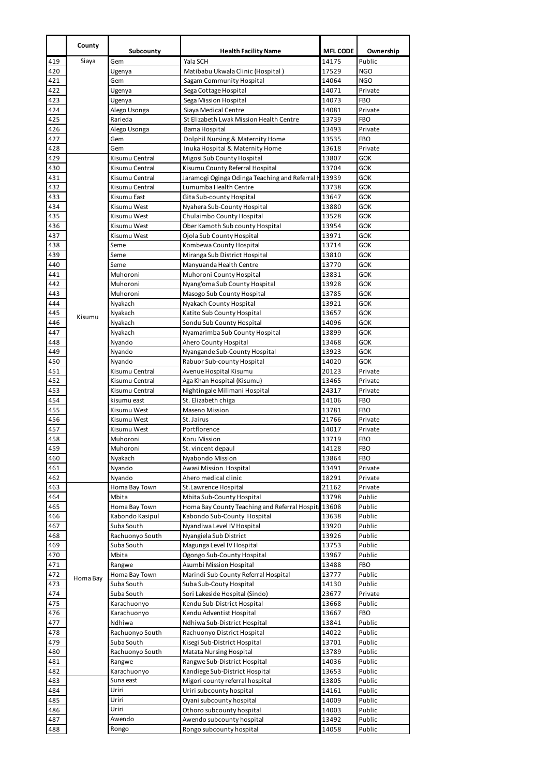|            | County   | Subcounty                        | <b>Health Facility Name</b>                                                   | <b>MFL CODE</b> | Ownership                |
|------------|----------|----------------------------------|-------------------------------------------------------------------------------|-----------------|--------------------------|
| 419        | Siaya    | Gem                              | Yala SCH                                                                      | 14175           | Public                   |
| 420        |          | Ugenya                           | Matibabu Ukwala Clinic (Hospital)                                             | 17529           | <b>NGO</b>               |
| 421        |          | Gem                              | Sagam Community Hospital                                                      | 14064           | <b>NGO</b>               |
| 422        |          | Ugenya                           | Sega Cottage Hospital                                                         | 14071           | Private                  |
| 423<br>424 |          | Ugenya<br>Alego Usonga           | Sega Mission Hospital<br>Siaya Medical Centre                                 | 14073<br>14081  | <b>FBO</b><br>Private    |
| 425        |          | Rarieda                          | St Elizabeth Lwak Mission Health Centre                                       | 13739           | <b>FBO</b>               |
| 426        |          | Alego Usonga                     | Bama Hospital                                                                 | 13493           | Private                  |
| 427        |          | Gem                              | Dolphil Nursing & Maternity Home                                              | 13535           | <b>FBO</b>               |
| 428        |          | Gem                              | Inuka Hospital & Maternity Home                                               | 13618           | Private                  |
| 429        |          | Kisumu Central                   | Migosi Sub County Hospital                                                    | 13807           | GOK                      |
| 430        |          | Kisumu Central<br>Kisumu Central | Kisumu County Referral Hospital                                               | 13704           | <b>GOK</b><br>GOK        |
| 431<br>432 |          | Kisumu Central                   | Jaramogi Oginga Odinga Teaching and Referral H 13939<br>Lumumba Health Centre | 13738           | GOK                      |
| 433        |          | Kisumu East                      | Gita Sub-county Hospital                                                      | 13647           | GOK                      |
| 434        |          | Kisumu West                      | Nyahera Sub-County Hospital                                                   | 13880           | <b>GOK</b>               |
| 435        |          | Kisumu West                      | Chulaimbo County Hospital                                                     | 13528           | GOK                      |
| 436        |          | Kisumu West                      | Ober Kamoth Sub county Hospital                                               | 13954           | GOK                      |
| 437        |          | Kisumu West                      | Ojola Sub County Hospital                                                     | 13971           | <b>GOK</b>               |
| 438        |          | Seme                             | Kombewa County Hospital                                                       | 13714<br>13810  | <b>GOK</b><br><b>GOK</b> |
| 439<br>440 |          | Seme<br>Seme                     | Miranga Sub District Hospital<br>Manyuanda Health Centre                      | 13770           | <b>GOK</b>               |
| 441        |          | Muhoroni                         | Muhoroni County Hospital                                                      | 13831           | GOK                      |
| 442        |          | Muhoroni                         | Nyang'oma Sub County Hospital                                                 | 13928           | <b>GOK</b>               |
| 443        |          | Muhoroni                         | Masogo Sub County Hospital                                                    | 13785           | <b>GOK</b>               |
| 444        |          | Nyakach                          | Nyakach County Hospital                                                       | 13921           | <b>GOK</b>               |
| 445        | Kisumu   | Nyakach                          | Katito Sub County Hospital                                                    | 13657           | <b>GOK</b>               |
| 446<br>447 |          | Nyakach<br>Nyakach               | Sondu Sub County Hospital<br>Nyamarimba Sub County Hospital                   | 14096<br>13899  | <b>GOK</b><br><b>GOK</b> |
| 448        |          | Nyando                           | Ahero County Hospital                                                         | 13468           | <b>GOK</b>               |
| 449        |          | Nyando                           | Nyangande Sub-County Hospital                                                 | 13923           | GOK                      |
| 450        |          | Nyando                           | Rabuor Sub-county Hospital                                                    | 14020           | <b>GOK</b>               |
| 451        |          | Kisumu Central                   | Avenue Hospital Kisumu                                                        | 20123           | Private                  |
| 452        |          | Kisumu Central                   | Aga Khan Hospital (Kisumu)                                                    | 13465           | Private                  |
| 453        |          | Kisumu Central                   | Nightingale Milimani Hospital                                                 | 24317           | Private                  |
| 454<br>455 |          | kisumu east<br>Kisumu West       | St. Elizabeth chiga<br>Maseno Mission                                         | 14106<br>13781  | <b>FBO</b><br><b>FBO</b> |
| 456        |          | Kisumu West                      | St. Jairus                                                                    | 21766           | Private                  |
| 457        |          | Kisumu West                      | Portflorence                                                                  | 14017           | Private                  |
| 458        |          | Muhoroni                         | Koru Mission                                                                  | 13719           | <b>FBO</b>               |
| 459        |          | Muhoroni                         | St. vincent depaul                                                            | 14128           | <b>FBO</b>               |
| 460        |          | Nyakach                          | Nyabondo Mission                                                              | 13864           | <b>FBO</b>               |
| 461        |          | Nyando<br>Nyando                 | Awasi Mission Hospital                                                        | 13491           | Private                  |
| 462<br>463 |          | Homa Bay Town                    | Ahero medical clinic<br>St.Lawrence Hospital                                  | 18291<br>21162  | Private<br>Private       |
| 464        |          | Mbita                            | Mbita Sub-County Hospital                                                     | 13798           | Public                   |
| 465        |          | Homa Bay Town                    | Homa Bay County Teaching and Referral Hospita 13608                           |                 | Public                   |
| 466        |          | Kabondo Kasipul                  | Kabondo Sub-County Hospital                                                   | 13638           | Public                   |
| 467        |          | Suba South                       | Nyandiwa Level IV Hospital                                                    | 13920           | Public                   |
| 468        |          | Rachuonyo South                  | Nyangiela Sub District                                                        | 13926           | Public                   |
| 469<br>470 |          | Suba South<br>Mbita              | Magunga Level IV Hospital<br>Ogongo Sub-County Hospital                       | 13753<br>13967  | Public<br>Public         |
| 471        |          | Rangwe                           | Asumbi Mission Hospital                                                       | 13488           | <b>FBO</b>               |
| 472        | Homa Bay | Homa Bay Town                    | Marindi Sub County Referral Hospital                                          | 13777           | Public                   |
| 473        |          | Suba South                       | Suba Sub-Couty Hospital                                                       | 14130           | Public                   |
| 474        |          | Suba South                       | Sori Lakeside Hospital (Sindo)                                                | 23677           | Private                  |
| 475        |          | Karachuonyo                      | Kendu Sub-District Hospital                                                   | 13668           | Public                   |
| 476<br>477 |          | Karachuonyo<br>Ndhiwa            | Kendu Adventist Hospital<br>Ndhiwa Sub-District Hospital                      | 13667<br>13841  | <b>FBO</b><br>Public     |
| 478        |          | Rachuonyo South                  | Rachuonyo District Hospital                                                   | 14022           | Public                   |
| 479        |          | Suba South                       | Kisegi Sub-District Hospital                                                  | 13701           | Public                   |
| 480        |          | Rachuonyo South                  | Matata Nursing Hospital                                                       | 13789           | Public                   |
| 481        |          | Rangwe                           | Rangwe Sub-District Hospital                                                  | 14036           | Public                   |
| 482        |          | Karachuonyo                      | Kandiege Sub-District Hospital                                                | 13653           | Public                   |
| 483        |          | Suna east                        | Migori county referral hospital                                               | 13805           | Public                   |
| 484        |          | Uriri<br>Uriri                   | Uriri subcounty hospital                                                      | 14161           | Public                   |
| 485<br>486 |          | Uriri                            | Oyani subcounty hospital<br>Othoro subcounty hospital                         | 14009<br>14003  | Public<br>Public         |
| 487        |          | Awendo                           | Awendo subcounty hospital                                                     | 13492           | Public                   |
| 488        |          | Rongo                            | Rongo subcounty hospital                                                      | 14058           | Public                   |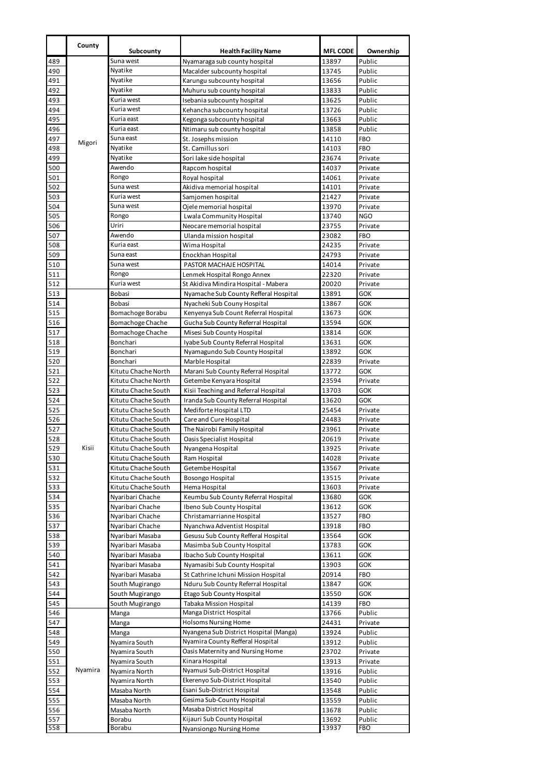|            | County  |                                            |                                                                      |                 |                          |
|------------|---------|--------------------------------------------|----------------------------------------------------------------------|-----------------|--------------------------|
|            |         | Subcounty<br>Suna west                     | <b>Health Facility Name</b>                                          | <b>MFL CODE</b> | Ownership<br>Public      |
| 489<br>490 |         | Nyatike                                    | Nyamaraga sub county hospital<br>Macalder subcounty hospital         | 13897<br>13745  | Public                   |
| 491        |         | Nyatike                                    | Karungu subcounty hospital                                           | 13656           | Public                   |
| 492        |         | Nyatike                                    | Muhuru sub county hospital                                           | 13833           | Public                   |
| 493        |         | Kuria west                                 | Isebania subcounty hospital                                          | 13625           | Public                   |
| 494        |         | Kuria west                                 | Kehancha subcounty hospital                                          | 13726           | Public                   |
| 495        |         | Kuria east                                 | Kegonga subcounty hospital                                           | 13663           | Public                   |
| 496        |         | Kuria east                                 | Ntimaru sub county hospital                                          | 13858           | Public                   |
| 497        | Migori  | Suna east                                  | St. Josephs mission                                                  | 14110           | <b>FBO</b>               |
| 498        |         | Nyatike                                    | St. Camillus sori                                                    | 14103           | <b>FBO</b>               |
| 499        |         | Nyatike                                    | Sori lake side hospital                                              | 23674           | Private                  |
| 500        |         | Awendo                                     | Rapcom hospital                                                      | 14037           | Private                  |
| 501        |         | Rongo<br>Suna west                         | Royal hospital                                                       | 14061           | Private                  |
| 502<br>503 |         | Kuria west                                 | Akidiva memorial hospital                                            | 14101<br>21427  | Private<br>Private       |
| 504        |         | Suna west                                  | Samjomen hospital<br>Ojele memorial hospital                         | 13970           | Private                  |
| 505        |         | Rongo                                      | Lwala Community Hospital                                             | 13740           | <b>NGO</b>               |
| 506        |         | Uriri                                      | Neocare memorial hospital                                            | 23755           | Private                  |
| 507        |         | Awendo                                     | Ulanda mission hospital                                              | 23082           | <b>FBO</b>               |
| 508        |         | Kuria east                                 | Wima Hospital                                                        | 24235           | Private                  |
| 509        |         | Suna east                                  | Enockhan Hospital                                                    | 24793           | Private                  |
| 510        |         | Suna west                                  | PASTOR MACHAJE HOSPITAL                                              | 14014           | Private                  |
| 511        |         | Rongo                                      | Lenmek Hospital Rongo Annex                                          | 22320           | Private                  |
| 512        |         | Kuria west                                 | St Akidiva Mindira Hospital - Mabera                                 | 20020           | Private                  |
| 513        |         | <b>Bobasi</b>                              | Nyamache Sub County Refferal Hospital                                | 13891           | GOK                      |
| 514        |         | <b>Bobasi</b>                              | Nyacheki Sub Couny Hospital                                          | 13867           | <b>GOK</b>               |
| 515        |         | Bomachoge Borabu                           | Kenyenya Sub Count Referral Hospital                                 | 13673           | GOK                      |
| 516        |         | Bomachoge Chache                           | Gucha Sub County Referral Hospital                                   | 13594           | <b>GOK</b>               |
| 517<br>518 |         | Bomachoge Chache<br>Bonchari               | Misesi Sub County Hospital<br>Iyabe Sub County Referral Hospital     | 13814<br>13631  | <b>GOK</b><br><b>GOK</b> |
| 519        |         | Bonchari                                   | Nyamagundo Sub County Hospital                                       | 13892           | <b>GOK</b>               |
| 520        |         | Bonchari                                   | Marble Hospital                                                      | 22839           | Private                  |
| 521        |         | Kitutu Chache North                        | Marani Sub County Referral Hospital                                  | 13772           | <b>GOK</b>               |
| 522        |         | Kitutu Chache North                        | Getembe Kenyara Hospital                                             | 23594           | Private                  |
| 523        |         | Kitutu Chache South                        | Kisii Teaching and Referral Hospital                                 | 13703           | GOK                      |
| 524        |         | Kitutu Chache South                        | Iranda Sub County Referral Hospital                                  | 13620           | <b>GOK</b>               |
| 525        |         | Kitutu Chache South                        | Mediforte Hospital LTD                                               | 25454           | Private                  |
| 526        |         | Kitutu Chache South                        | Care and Cure Hospital                                               | 24483           | Private                  |
| 527        |         | Kitutu Chache South                        | The Nairobi Family Hospital                                          | 23961           | Private                  |
| 528<br>529 |         | Kitutu Chache South                        | Oasis Specialist Hospital                                            | 20619           | Private                  |
| 530        | Kisii   | Kitutu Chache South<br>Kitutu Chache South | Nyangena Hospital<br>Ram Hospital                                    | 13925<br>14028  | Private<br>Private       |
| 531        |         | Kitutu Chache South                        | Getembe Hospital                                                     | 13567           | Private                  |
| 532        |         | Kitutu Chache South                        | Bosongo Hospital                                                     | 13515           | Private                  |
| 533        |         | Kitutu Chache South                        | Hema Hospital                                                        | 13603           | Private                  |
| 534        |         | Nyaribari Chache                           | Keumbu Sub County Referral Hospital                                  | 13680           | <b>GOK</b>               |
| 535        |         | Nyaribari Chache                           | Ibeno Sub County Hospital                                            | 13612           | GOK                      |
| 536        |         | Nyaribari Chache                           | Christamarrianne Hospital                                            | 13527           | FBO                      |
| 537        |         | Nyaribari Chache                           | Nyanchwa Adventist Hospital                                          | 13918           | <b>FBO</b>               |
| 538        |         | Nyaribari Masaba                           | Gesusu Sub County Refferal Hospital                                  | 13564           | <b>GOK</b>               |
| 539        |         | Nyaribari Masaba                           | Masimba Sub County Hospital                                          | 13783           | <b>GOK</b>               |
| 540        |         | Nyaribari Masaba                           | Ibacho Sub County Hospital                                           | 13611           | <b>GOK</b>               |
| 541        |         | Nyaribari Masaba                           | Nyamasibi Sub County Hospital<br>St Cathrine Ichuni Mission Hospital | 13903           | <b>GOK</b><br><b>FBO</b> |
| 542<br>543 |         | Nyaribari Masaba<br>South Mugirango        | Nduru Sub County Referral Hospital                                   | 20914<br>13847  | GOK                      |
| 544        |         | South Mugirango                            | Etago Sub County Hospital                                            | 13550           | <b>GOK</b>               |
| 545        |         | South Mugirango                            | Tabaka Mission Hospital                                              | 14139           | <b>FBO</b>               |
| 546        |         | Manga                                      | Manga District Hospital                                              | 13766           | Public                   |
| 547        |         | Manga                                      | Holsoms Nursing Home                                                 | 24431           | Private                  |
| 548        |         | Manga                                      | Nyangena Sub District Hospital (Manga)                               | 13924           | Public                   |
| 549        |         | Nyamira South                              | Nyamira County Refferal Hospital                                     | 13912           | Public                   |
| 550        |         | Nyamira South                              | Oasis Maternity and Nursing Home                                     | 23702           | Private                  |
| 551        |         | Nyamira South                              | Kinara Hospital                                                      | 13913           | Private                  |
| 552        | Nyamira | Nyamira North                              | Nyamusi Sub-District Hospital                                        | 13916           | Public                   |
| 553        |         | Nyamira North                              | Ekerenyo Sub-District Hospital                                       | 13540           | Public                   |
| 554        |         | Masaba North                               | Esani Sub-District Hospital                                          | 13548           | Public                   |
| 555        |         | Masaba North                               | Gesima Sub-County Hospital<br>Masaba District Hospital               | 13559           | Public                   |
| 556<br>557 |         | Masaba North<br>Borabu                     | Kijauri Sub County Hospital                                          | 13678<br>13692  | Public<br>Public         |
| 558        |         | Borabu                                     | Nyansiongo Nursing Home                                              | 13937           | <b>FBO</b>               |